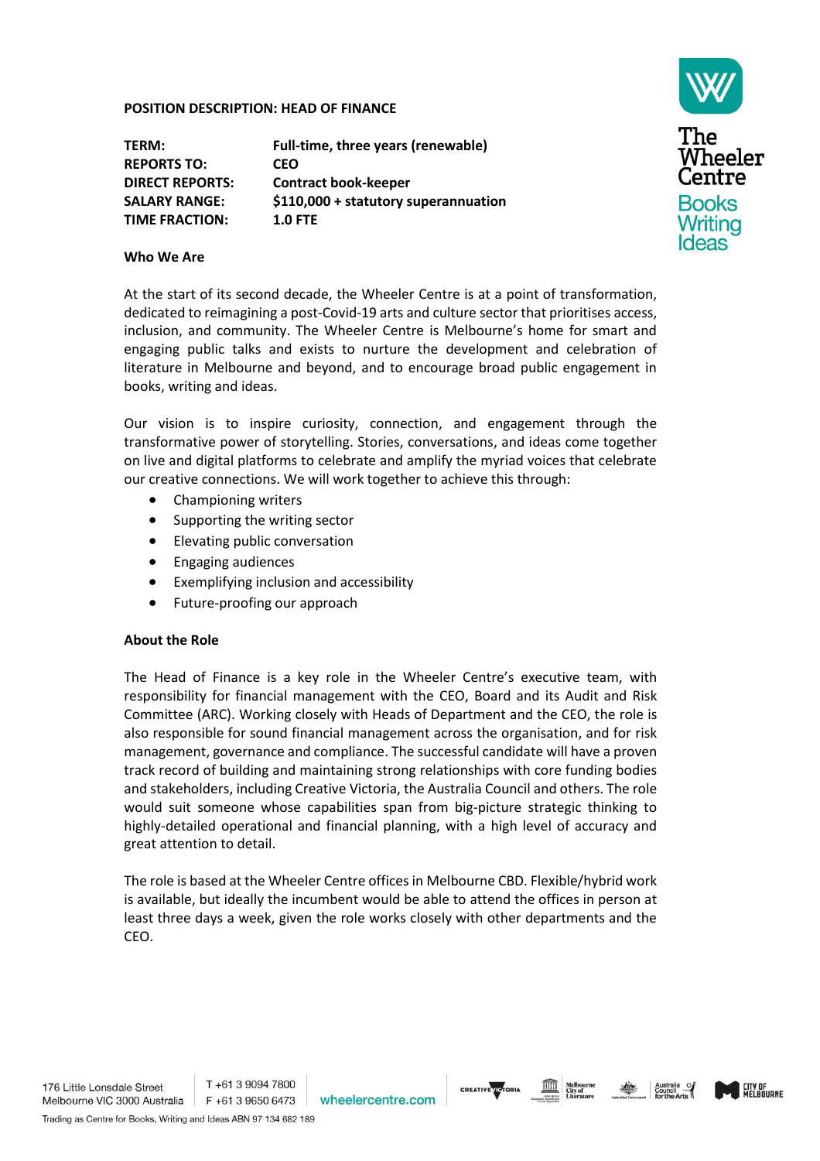#### **POSITION DESCRIPTION: HEAD OF FINANCE**

| Full-time, three years (renewable)   |
|--------------------------------------|
| <b>CEO</b>                           |
| <b>Contract book-keeper</b>          |
| \$110,000 + statutory superannuation |
| $1.0$ FTE                            |
|                                      |



### **Who We Are**

At the start of its second decade, the Wheeler Centre is at a point of transformation, dedicated to reimagining a post-Covid-19 arts and culture sector that prioritises access, inclusion, and community. The Wheeler Centre is Melbourne's home for smart and engaging public talks and exists to nurture the development and celebration of literature in Melbourne and beyond, and to encourage broad public engagement in books, writing and ideas.

Our vision is to inspire curiosity, connection, and engagement through the transformative power of storytelling. Stories, conversations, and ideas come together on live and digital platforms to celebrate and amplify the myriad voices that celebrate our creative connections. We will work together to achieve this through:

- Championing writers
- Supporting the writing sector
- Elevating public conversation
- Engaging audiences
- Exemplifying inclusion and accessibility
- Future-proofing our approach

# **About the Role**

The Head of Finance is a key role in the Wheeler Centre's executive team, with responsibility for financial management with the CEO, Board and its Audit and Risk Committee (ARC). Working closely with Heads of Department and the CEO, the role is also responsible for sound financial management across the organisation, and for risk management, governance and compliance. The successful candidate will have a proven track record of building and maintaining strong relationships with core funding bodies and stakeholders, including Creative Victoria, the Australia Council and others. The role would suit someone whose capabilities span from big-picture strategic thinking to highly-detailed operational and financial planning, with a high level of accuracy and great attention to detail.

The role is based at the Wheeler Centre offices in Melbourne CBD. Flexible/hybrid work is available, but ideally the incumbent would be able to attend the offices in person at least three days a week, given the role works closely with other departments and the CEO.







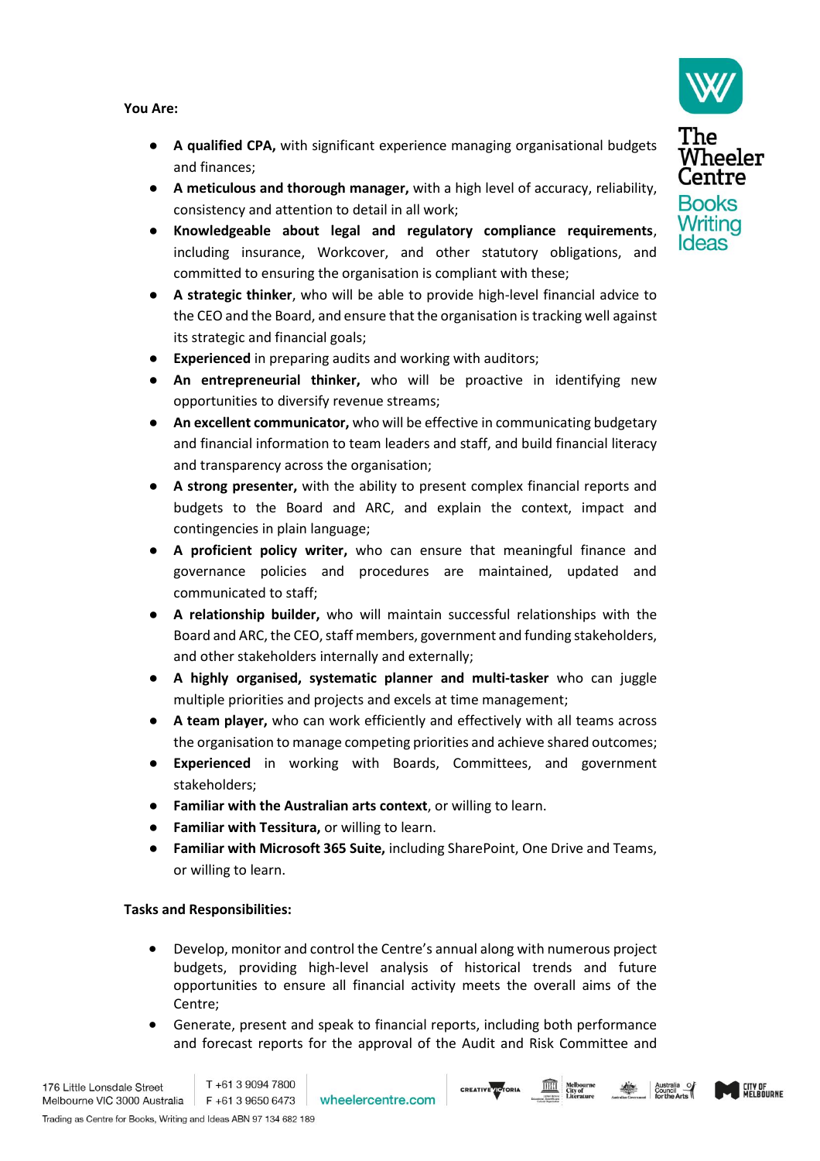**You Are:**

- **A qualified CPA,** with significant experience managing organisational budgets and finances;
- **A meticulous and thorough manager,** with a high level of accuracy, reliability, consistency and attention to detail in all work;
- **Knowledgeable about legal and regulatory compliance requirements**, including insurance, Workcover, and other statutory obligations, and committed to ensuring the organisation is compliant with these;
- A strategic thinker, who will be able to provide high-level financial advice to the CEO and the Board, and ensure that the organisation is tracking well against its strategic and financial goals;
- **Experienced** in preparing audits and working with auditors;
- **An entrepreneurial thinker,** who will be proactive in identifying new opportunities to diversify revenue streams;
- **An excellent communicator,** who will be effective in communicating budgetary and financial information to team leaders and staff, and build financial literacy and transparency across the organisation;
- **A strong presenter,** with the ability to present complex financial reports and budgets to the Board and ARC, and explain the context, impact and contingencies in plain language;
- A proficient policy writer, who can ensure that meaningful finance and governance policies and procedures are maintained, updated and communicated to staff;
- **A relationship builder,** who will maintain successful relationships with the Board and ARC, the CEO, staff members, government and funding stakeholders, and other stakeholders internally and externally;
- **A highly organised, systematic planner and multi-tasker** who can juggle multiple priorities and projects and excels at time management;
- **A team player,** who can work efficiently and effectively with all teams across the organisation to manage competing priorities and achieve shared outcomes;
- **Experienced** in working with Boards, Committees, and government stakeholders;
- **Familiar with the Australian arts context**, or willing to learn.
- **Familiar with Tessitura, or willing to learn.**
- Familiar with Microsoft 365 Suite, including SharePoint, One Drive and Teams, or willing to learn.

# **Tasks and Responsibilities:**

- Develop, monitor and control the Centre's annual along with numerous project budgets, providing high-level analysis of historical trends and future opportunities to ensure all financial activity meets the overall aims of the Centre;
- Generate, present and speak to financial reports, including both performance and forecast reports for the approval of the Audit and Risk Committee and







The Wheeler Centre **Books** Writing **Ideas**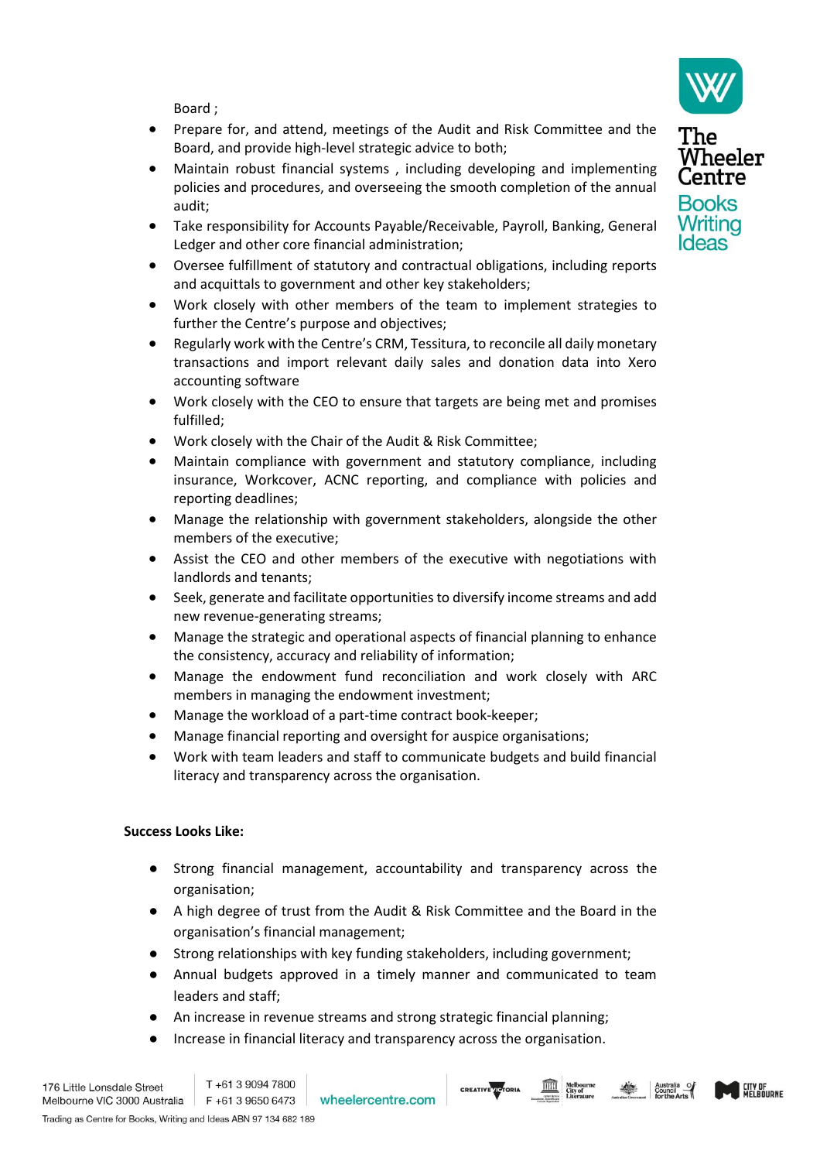Board ;

- Prepare for, and attend, meetings of the Audit and Risk Committee and the Board, and provide high-level strategic advice to both;
- Maintain robust financial systems , including developing and implementing policies and procedures, and overseeing the smooth completion of the annual audit;
- Take responsibility for Accounts Payable/Receivable, Payroll, Banking, General Ledger and other core financial administration;
- Oversee fulfillment of statutory and contractual obligations, including reports and acquittals to government and other key stakeholders;
- Work closely with other members of the team to implement strategies to further the Centre's purpose and objectives;
- Regularly work with the Centre's CRM, Tessitura, to reconcile all daily monetary transactions and import relevant daily sales and donation data into Xero accounting software
- Work closely with the CEO to ensure that targets are being met and promises fulfilled;
- Work closely with the Chair of the Audit & Risk Committee;
- Maintain compliance with government and statutory compliance, including insurance, Workcover, ACNC reporting, and compliance with policies and reporting deadlines;
- Manage the relationship with government stakeholders, alongside the other members of the executive;
- Assist the CEO and other members of the executive with negotiations with landlords and tenants;
- Seek, generate and facilitate opportunities to diversify income streams and add new revenue-generating streams;
- Manage the strategic and operational aspects of financial planning to enhance the consistency, accuracy and reliability of information;
- Manage the endowment fund reconciliation and work closely with ARC members in managing the endowment investment;
- Manage the workload of a part-time contract book-keeper;
- Manage financial reporting and oversight for auspice organisations;
- Work with team leaders and staff to communicate budgets and build financial literacy and transparency across the organisation.

# **Success Looks Like:**

- Strong financial management, accountability and transparency across the organisation;
- A high degree of trust from the Audit & Risk Committee and the Board in the organisation's financial management;
- Strong relationships with key funding stakeholders, including government;
- Annual budgets approved in a timely manner and communicated to team leaders and staff;

**CREATIVE VICTORIA** 

- An increase in revenue streams and strong strategic financial planning;
- Increase in financial literacy and transparency across the organisation.